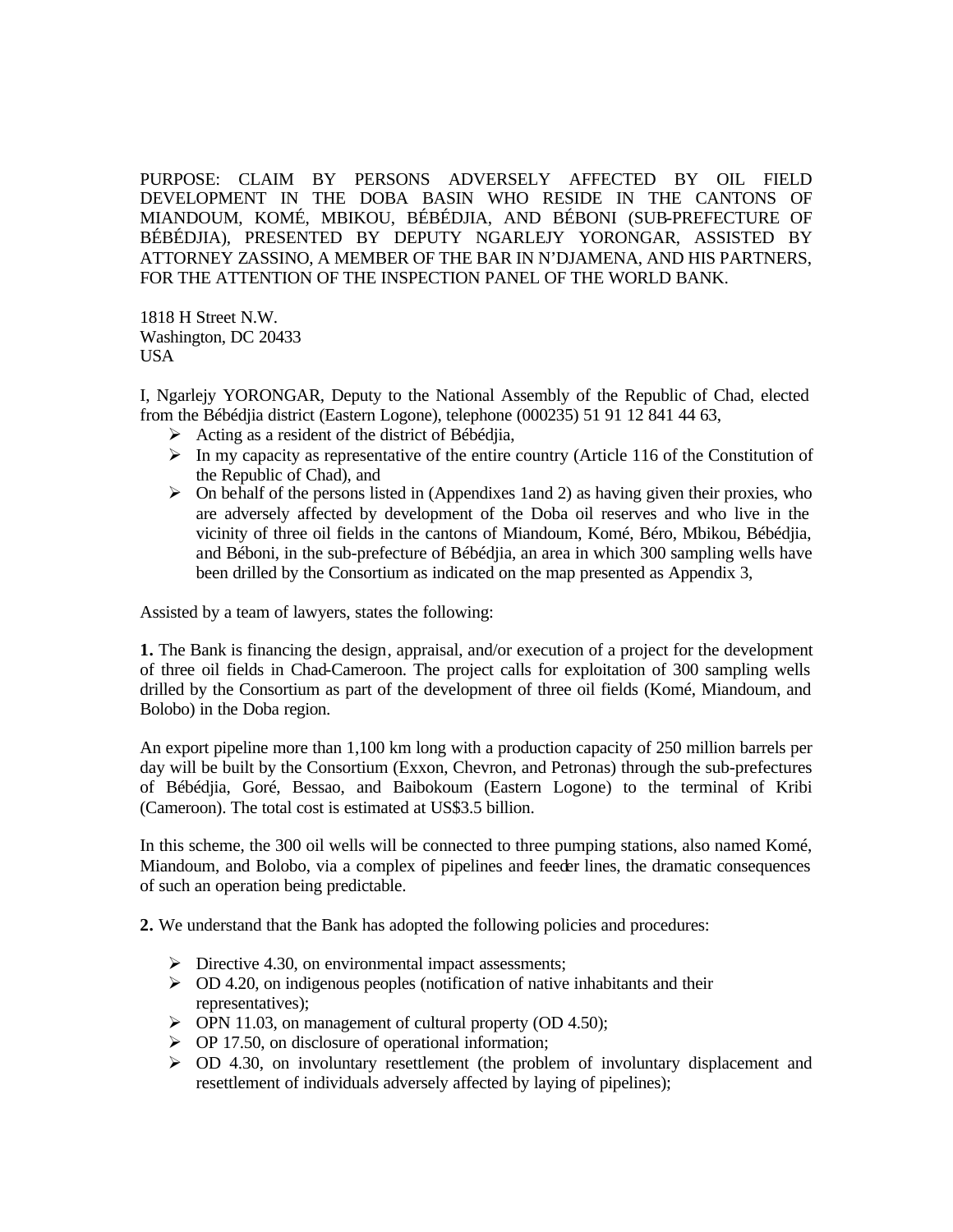PURPOSE: CLAIM BY PERSONS ADVERSELY AFFECTED BY OIL FIELD DEVELOPMENT IN THE DOBA BASIN WHO RESIDE IN THE CANTONS OF MIANDOUM, KOMÉ, MBIKOU, BÉBÉDJIA, AND BÉBONI (SUB-PREFECTURE OF BÉBÉDJIA), PRESENTED BY DEPUTY NGARLEJY YORONGAR, ASSISTED BY ATTORNEY ZASSINO, A MEMBER OF THE BAR IN N'DJAMENA, AND HIS PARTNERS, FOR THE ATTENTION OF THE INSPECTION PANEL OF THE WORLD BANK.

1818 H Street N.W. Washington, DC 20433 USA

I, Ngarlejy YORONGAR, Deputy to the National Assembly of the Republic of Chad, elected from the Bébédjia district (Eastern Logone), telephone (000235) 51 91 12 841 44 63,

- $\triangleright$  Acting as a resident of the district of Bébédiia,
- $\triangleright$  In my capacity as representative of the entire country (Article 116 of the Constitution of the Republic of Chad), and
- $\triangleright$  On behalf of the persons listed in (Appendixes 1and 2) as having given their proxies, who are adversely affected by development of the Doba oil reserves and who live in the vicinity of three oil fields in the cantons of Miandoum, Komé, Béro, Mbikou, Bébédjia, and Béboni, in the sub-prefecture of Bébédjia, an area in which 300 sampling wells have been drilled by the Consortium as indicated on the map presented as Appendix 3,

Assisted by a team of lawyers, states the following:

**1.** The Bank is financing the design, appraisal, and/or execution of a project for the development of three oil fields in Chad-Cameroon. The project calls for exploitation of 300 sampling wells drilled by the Consortium as part of the development of three oil fields (Komé, Miandoum, and Bolobo) in the Doba region.

An export pipeline more than 1,100 km long with a production capacity of 250 million barrels per day will be built by the Consortium (Exxon, Chevron, and Petronas) through the sub-prefectures of Bébédjia, Goré, Bessao, and Baibokoum (Eastern Logone) to the terminal of Kribi (Cameroon). The total cost is estimated at US\$3.5 billion.

In this scheme, the 300 oil wells will be connected to three pumping stations, also named Komé, Miandoum, and Bolobo, via a complex of pipelines and feeder lines, the dramatic consequences of such an operation being predictable.

**2.** We understand that the Bank has adopted the following policies and procedures:

- $\triangleright$  Directive 4.30, on environmental impact assessments;
- $\geq$  OD 4.20, on indigenous peoples (notification of native inhabitants and their representatives);
- $\triangleright$  OPN 11.03, on management of cultural property (OD 4.50);
- $\triangleright$  OP 17.50, on disclosure of operational information;
- $\geq$  OD 4.30, on involuntary resettlement (the problem of involuntary displacement and resettlement of individuals adversely affected by laying of pipelines);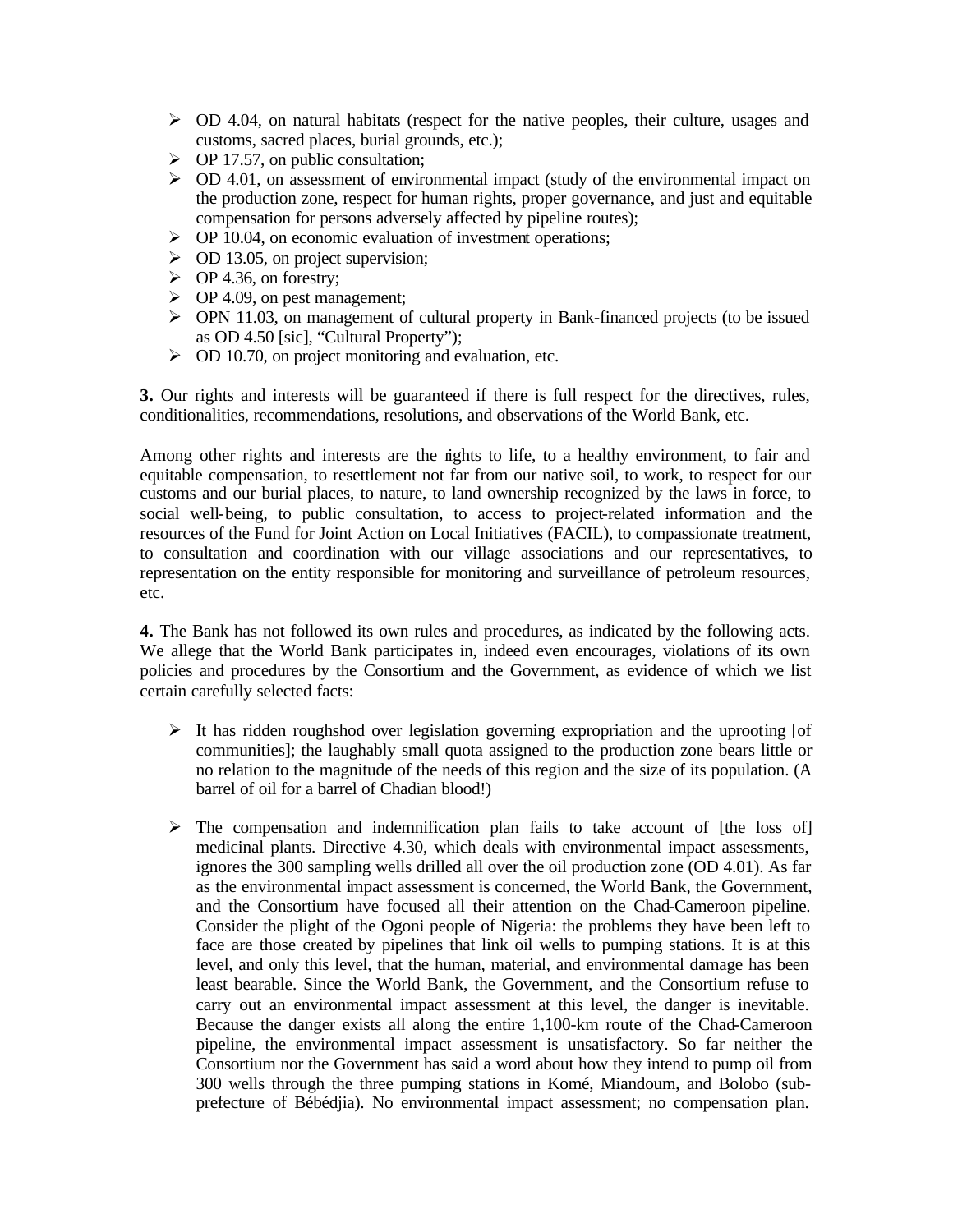- $\geq$  OD 4.04, on natural habitats (respect for the native peoples, their culture, usages and customs, sacred places, burial grounds, etc.);
- $\triangleright$  OP 17.57, on public consultation;
- $\geq$  OD 4.01, on assessment of environmental impact (study of the environmental impact on the production zone, respect for human rights, proper governance, and just and equitable compensation for persons adversely affected by pipeline routes);
- $\triangleright$  OP 10.04, on economic evaluation of investment operations;
- $\geq$  OD 13.05, on project supervision;
- $\triangleright$  OP 4.36, on forestry;
- $\triangleright$  OP 4.09, on pest management;
- $\triangleright$  OPN 11.03, on management of cultural property in Bank-financed projects (to be issued as OD 4.50 [sic], "Cultural Property");
- $\triangleright$  OD 10.70, on project monitoring and evaluation, etc.

**3.** Our rights and interests will be guaranteed if there is full respect for the directives, rules, conditionalities, recommendations, resolutions, and observations of the World Bank, etc.

Among other rights and interests are the rights to life, to a healthy environment, to fair and equitable compensation, to resettlement not far from our native soil, to work, to respect for our customs and our burial places, to nature, to land ownership recognized by the laws in force, to social well-being, to public consultation, to access to project-related information and the resources of the Fund for Joint Action on Local Initiatives (FACIL), to compassionate treatment, to consultation and coordination with our village associations and our representatives, to representation on the entity responsible for monitoring and surveillance of petroleum resources, etc.

**4.** The Bank has not followed its own rules and procedures, as indicated by the following acts. We allege that the World Bank participates in, indeed even encourages, violations of its own policies and procedures by the Consortium and the Government, as evidence of which we list certain carefully selected facts:

- $\triangleright$  It has ridden roughshod over legislation governing expropriation and the uprooting [of communities]; the laughably small quota assigned to the production zone bears little or no relation to the magnitude of the needs of this region and the size of its population. (A barrel of oil for a barrel of Chadian blood!)
- $\triangleright$  The compensation and indemnification plan fails to take account of [the loss of] medicinal plants. Directive 4.30, which deals with environmental impact assessments, ignores the 300 sampling wells drilled all over the oil production zone (OD 4.01). As far as the environmental impact assessment is concerned, the World Bank, the Government, and the Consortium have focused all their attention on the Chad-Cameroon pipeline. Consider the plight of the Ogoni people of Nigeria: the problems they have been left to face are those created by pipelines that link oil wells to pumping stations. It is at this level, and only this level, that the human, material, and environmental damage has been least bearable. Since the World Bank, the Government, and the Consortium refuse to carry out an environmental impact assessment at this level, the danger is inevitable. Because the danger exists all along the entire 1,100-km route of the Chad-Cameroon pipeline, the environmental impact assessment is unsatisfactory. So far neither the Consortium nor the Government has said a word about how they intend to pump oil from 300 wells through the three pumping stations in Komé, Miandoum, and Bolobo (subprefecture of Bébédjia). No environmental impact assessment; no compensation plan.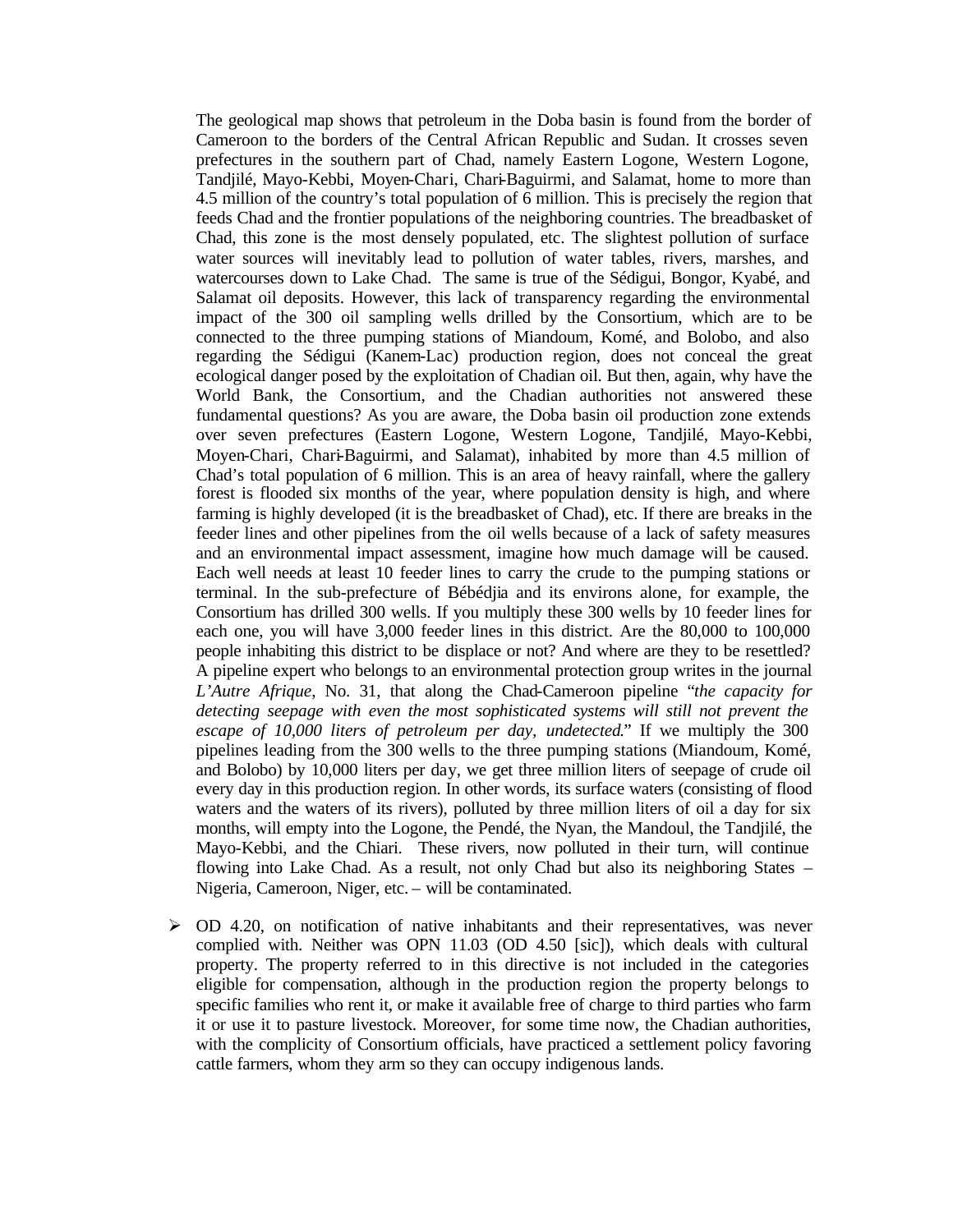The geological map shows that petroleum in the Doba basin is found from the border of Cameroon to the borders of the Central African Republic and Sudan. It crosses seven prefectures in the southern part of Chad, namely Eastern Logone, Western Logone, Tandjilé, Mayo-Kebbi, Moyen-Chari, Chari-Baguirmi, and Salamat, home to more than 4.5 million of the country's total population of 6 million. This is precisely the region that feeds Chad and the frontier populations of the neighboring countries. The breadbasket of Chad, this zone is the most densely populated, etc. The slightest pollution of surface water sources will inevitably lead to pollution of water tables, rivers, marshes, and watercourses down to Lake Chad. The same is true of the Sédigui, Bongor, Kyabé, and Salamat oil deposits. However, this lack of transparency regarding the environmental impact of the 300 oil sampling wells drilled by the Consortium, which are to be connected to the three pumping stations of Miandoum, Komé, and Bolobo, and also regarding the Sédigui (Kanem-Lac) production region, does not conceal the great ecological danger posed by the exploitation of Chadian oil. But then, again, why have the World Bank, the Consortium, and the Chadian authorities not answered these fundamental questions? As you are aware, the Doba basin oil production zone extends over seven prefectures (Eastern Logone, Western Logone, Tandjilé, Mayo-Kebbi, Moyen-Chari, Chari-Baguirmi, and Salamat), inhabited by more than 4.5 million of Chad's total population of 6 million. This is an area of heavy rainfall, where the gallery forest is flooded six months of the year, where population density is high, and where farming is highly developed (it is the breadbasket of Chad), etc. If there are breaks in the feeder lines and other pipelines from the oil wells because of a lack of safety measures and an environmental impact assessment, imagine how much damage will be caused. Each well needs at least 10 feeder lines to carry the crude to the pumping stations or terminal. In the sub-prefecture of Bébédjia and its environs alone, for example, the Consortium has drilled 300 wells. If you multiply these 300 wells by 10 feeder lines for each one, you will have 3,000 feeder lines in this district. Are the 80,000 to 100,000 people inhabiting this district to be displace or not? And where are they to be resettled? A pipeline expert who belongs to an environmental protection group writes in the journal *L'Autre Afrique*, No. 31, that along the Chad-Cameroon pipeline "*the capacity for detecting seepage with even the most sophisticated systems will still not prevent the escape of 10,000 liters of petroleum per day, undetected*." If we multiply the 300 pipelines leading from the 300 wells to the three pumping stations (Miandoum, Komé, and Bolobo) by 10,000 liters per day, we get three million liters of seepage of crude oil every day in this production region. In other words, its surface waters (consisting of flood waters and the waters of its rivers), polluted by three million liters of oil a day for six months, will empty into the Logone, the Pendé, the Nyan, the Mandoul, the Tandjilé, the Mayo-Kebbi, and the Chiari. These rivers, now polluted in their turn, will continue flowing into Lake Chad. As a result, not only Chad but also its neighboring States – Nigeria, Cameroon, Niger, etc. – will be contaminated.

 $\geq$  OD 4.20, on notification of native inhabitants and their representatives, was never complied with. Neither was OPN 11.03 (OD 4.50 [sic]), which deals with cultural property. The property referred to in this directive is not included in the categories eligible for compensation, although in the production region the property belongs to specific families who rent it, or make it available free of charge to third parties who farm it or use it to pasture livestock. Moreover, for some time now, the Chadian authorities, with the complicity of Consortium officials, have practiced a settlement policy favoring cattle farmers, whom they arm so they can occupy indigenous lands.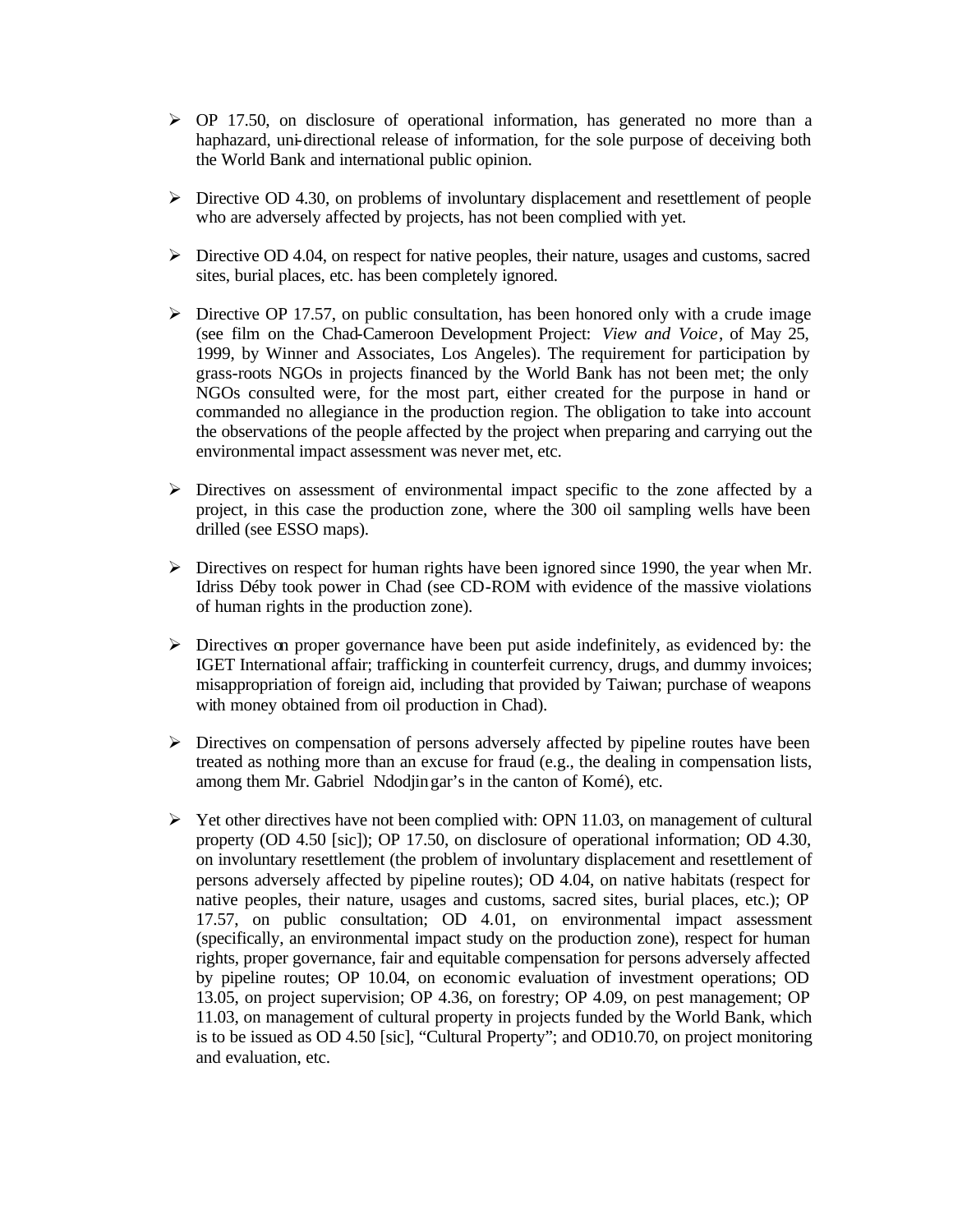- $\triangleright$  OP 17.50, on disclosure of operational information, has generated no more than a haphazard, uni-directional release of information, for the sole purpose of deceiving both the World Bank and international public opinion.
- $\triangleright$  Directive OD 4.30, on problems of involuntary displacement and resettlement of people who are adversely affected by projects, has not been complied with yet.
- ÿ Directive OD 4.04, on respect for native peoples, their nature, usages and customs, sacred sites, burial places, etc. has been completely ignored.
- $\triangleright$  Directive OP 17.57, on public consultation, has been honored only with a crude image (see film on the Chad-Cameroon Development Project: *View and Voice*, of May 25, 1999, by Winner and Associates, Los Angeles). The requirement for participation by grass-roots NGOs in projects financed by the World Bank has not been met; the only NGOs consulted were, for the most part, either created for the purpose in hand or commanded no allegiance in the production region. The obligation to take into account the observations of the people affected by the project when preparing and carrying out the environmental impact assessment was never met, etc.
- $\triangleright$  Directives on assessment of environmental impact specific to the zone affected by a project, in this case the production zone, where the 300 oil sampling wells have been drilled (see ESSO maps).
- $\triangleright$  Directives on respect for human rights have been ignored since 1990, the year when Mr. Idriss Déby took power in Chad (see CD-ROM with evidence of the massive violations of human rights in the production zone).
- $\triangleright$  Directives on proper governance have been put aside indefinitely, as evidenced by: the IGET International affair; trafficking in counterfeit currency, drugs, and dummy invoices; misappropriation of foreign aid, including that provided by Taiwan; purchase of weapons with money obtained from oil production in Chad).
- $\triangleright$  Directives on compensation of persons adversely affected by pipeline routes have been treated as nothing more than an excuse for fraud (e.g., the dealing in compensation lists, among them Mr. Gabriel Ndodjingar's in the canton of Komé), etc.
- $\triangleright$  Yet other directives have not been complied with: OPN 11.03, on management of cultural property (OD 4.50 [sic]); OP 17.50, on disclosure of operational information; OD 4.30, on involuntary resettlement (the problem of involuntary displacement and resettlement of persons adversely affected by pipeline routes); OD 4.04, on native habitats (respect for native peoples, their nature, usages and customs, sacred sites, burial places, etc.); OP 17.57, on public consultation; OD 4.01, on environmental impact assessment (specifically, an environmental impact study on the production zone), respect for human rights, proper governance, fair and equitable compensation for persons adversely affected by pipeline routes; OP 10.04, on economic evaluation of investment operations; OD 13.05, on project supervision; OP 4.36, on forestry; OP 4.09, on pest management; OP 11.03, on management of cultural property in projects funded by the World Bank, which is to be issued as OD 4.50 [sic], "Cultural Property"; and OD10.70, on project monitoring and evaluation, etc.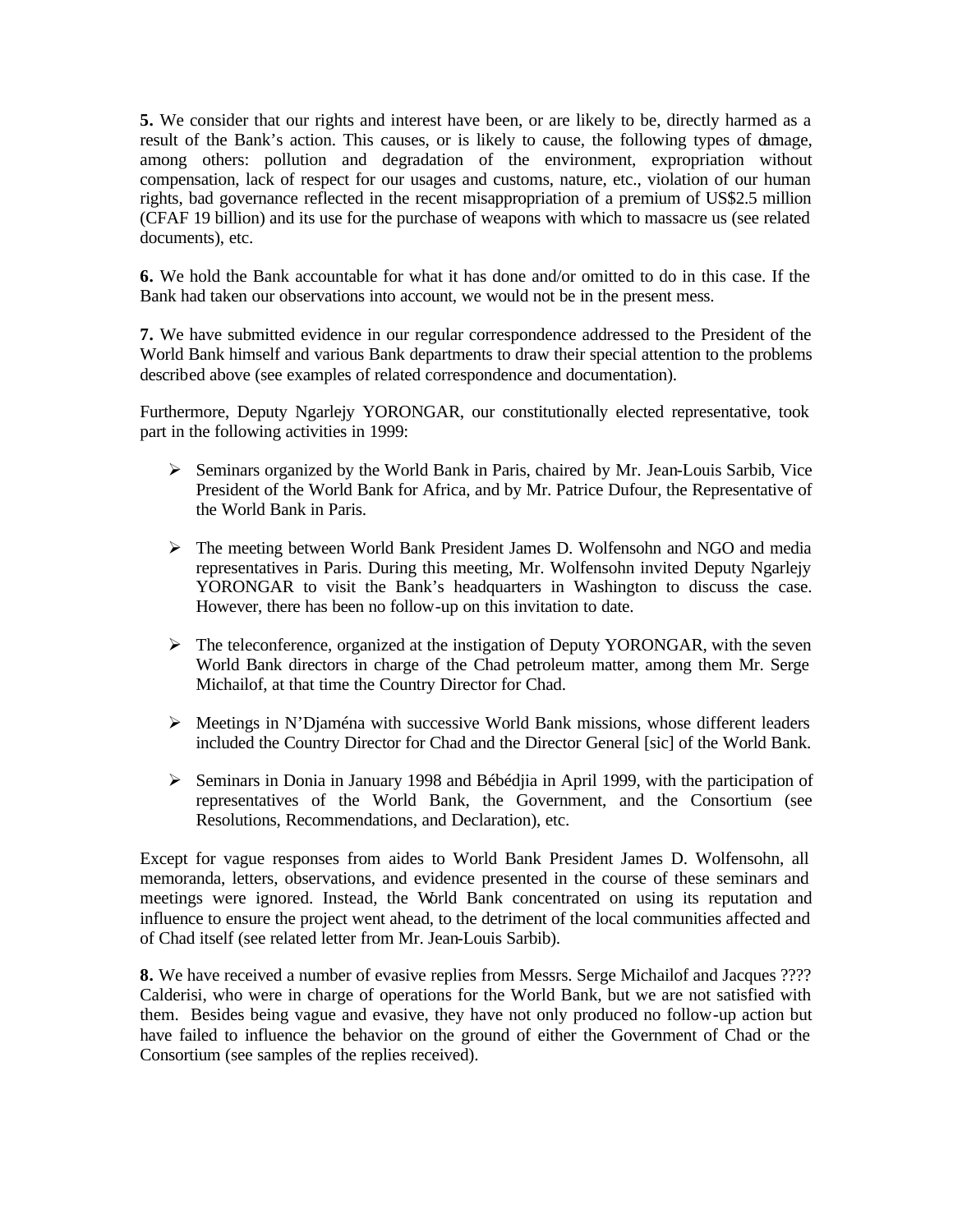**5.** We consider that our rights and interest have been, or are likely to be, directly harmed as a result of the Bank's action. This causes, or is likely to cause, the following types of damage, among others: pollution and degradation of the environment, expropriation without compensation, lack of respect for our usages and customs, nature, etc., violation of our human rights, bad governance reflected in the recent misappropriation of a premium of US\$2.5 million (CFAF 19 billion) and its use for the purchase of weapons with which to massacre us (see related documents), etc.

**6.** We hold the Bank accountable for what it has done and/or omitted to do in this case. If the Bank had taken our observations into account, we would not be in the present mess.

**7.** We have submitted evidence in our regular correspondence addressed to the President of the World Bank himself and various Bank departments to draw their special attention to the problems described above (see examples of related correspondence and documentation).

Furthermore, Deputy Ngarlejy YORONGAR, our constitutionally elected representative, took part in the following activities in 1999:

- ÿ Seminars organized by the World Bank in Paris, chaired by Mr. Jean-Louis Sarbib, Vice President of the World Bank for Africa, and by Mr. Patrice Dufour, the Representative of the World Bank in Paris.
- $\triangleright$  The meeting between World Bank President James D. Wolfensohn and NGO and media representatives in Paris. During this meeting, Mr. Wolfensohn invited Deputy Ngarlejy YORONGAR to visit the Bank's headquarters in Washington to discuss the case. However, there has been no follow-up on this invitation to date.
- $\triangleright$  The teleconference, organized at the instigation of Deputy YORONGAR, with the seven World Bank directors in charge of the Chad petroleum matter, among them Mr. Serge Michailof, at that time the Country Director for Chad.
- $\triangleright$  Meetings in N'Djaména with successive World Bank missions, whose different leaders included the Country Director for Chad and the Director General [sic] of the World Bank.
- ÿ Seminars in Donia in January 1998 and Bébédjia in April 1999, with the participation of representatives of the World Bank, the Government, and the Consortium (see Resolutions, Recommendations, and Declaration), etc.

Except for vague responses from aides to World Bank President James D. Wolfensohn, all memoranda, letters, observations, and evidence presented in the course of these seminars and meetings were ignored. Instead, the World Bank concentrated on using its reputation and influence to ensure the project went ahead, to the detriment of the local communities affected and of Chad itself (see related letter from Mr. Jean-Louis Sarbib).

**8.** We have received a number of evasive replies from Messrs. Serge Michailof and Jacques ???? Calderisi, who were in charge of operations for the World Bank, but we are not satisfied with them. Besides being vague and evasive, they have not only produced no follow-up action but have failed to influence the behavior on the ground of either the Government of Chad or the Consortium (see samples of the replies received).